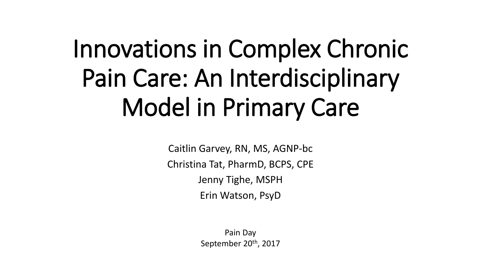# Innovations in Complex Chronic Pain Care: An Interdisciplinary Model in Primary Care

Caitlin Garvey, RN, MS, AGNP-bc Christina Tat, PharmD, BCPS, CPE Jenny Tighe, MSPH Erin Watson, PsyD

> Pain Day September 20th, 2017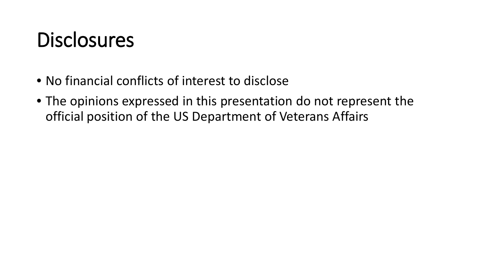#### **Disclosures**

- No financial conflicts of interest to disclose
- The opinions expressed in this presentation do not represent the official position of the US Department of Veterans Affairs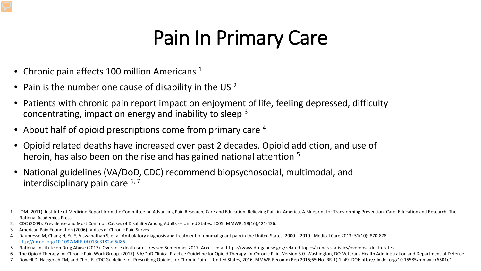#### Pain In Primary Care

- Chronic pain affects 100 million Americans  $1$
- Pain is the number one cause of disability in the US 2
- Patients with chronic pain report impact on enjoyment of life, feeling depressed, difficulty concentrating, impact on energy and inability to sleep 3
- About half of opioid prescriptions come from primary care <sup>4</sup>
- Opioid related deaths have increased over past 2 decades. Opioid addiction, and use of heroin, has also been on the rise and has gained national attention <sup>5</sup>
- National guidelines (VA/DoD, CDC) recommend biopsychosocial, multimodal, and interdisciplinary pain care  $6, 7$
- 1. IOM (2011). Institute of Medicine Report from the Committee on Advancing Pain Research, Care and Education: Relieving Pain in America, A Blueprint for Transforming Prevention, Care, Education and Research. The National Academies Press.
- 2. CDC (2009). Prevalence and Most Common Causes of Disability Among Adults --- United States, 2005. MMWR, 58(16);421-426.
- 3. American Pain Foundation (2006). Voices of Chronic Pain Survey.
- 4. Daubresse M, Chang H, Yu Y, Viswanathan S, et al. Ambulatory diagnosis and treatment of nonmalignant pain in the United States, 2000 2010. Medical Care 2013; 51(10): 870-878. <http://dx.doi.org/10.1097/MLR.0b013e3182a95d86>
- 5. National Institute on Drug Abuse (2017). Overdose death rates, revised September 2017. Accessed at https://www.drugabuse.gov/related-topics/trends-statistics/overdose-death-rates
- 6. The Opioid Therapy for Chronic Pain Work Group. (2017). VA/DoD Clinical Practice Guideline for Opioid Therapy for Chronic Pain. Version 3.0. Washington, DC: Veterans Health Administration and Department of Defense.
- 7. Dowell D, Haegerich TM, and Chou R. CDC Guideline for Prescribing Opioids for Chronic Pain United States, 2016. MMWR Recomm Rep 2016;65(No. RR-1):1–49. DOI: http://dx.doi.org/10.15585/mmwr.rr6501e1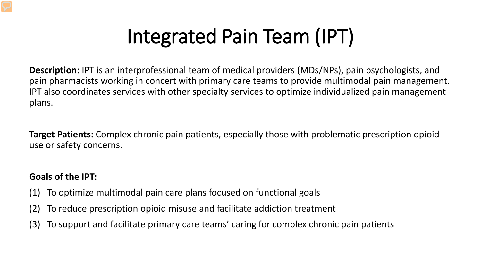## Integrated Pain Team (IPT)

**Description:** IPT is an interprofessional team of medical providers (MDs/NPs), pain psychologists, and pain pharmacists working in concert with primary care teams to provide multimodal pain management. IPT also coordinates services with other specialty services to optimize individualized pain management plans.

**Target Patients:** Complex chronic pain patients, especially those with problematic prescription opioid use or safety concerns.

#### **Goals of the IPT:**

- (1) To optimize multimodal pain care plans focused on functional goals
- (2) To reduce prescription opioid misuse and facilitate addiction treatment
- (3) To support and facilitate primary care teams' caring for complex chronic pain patients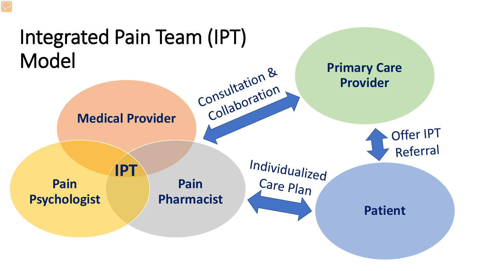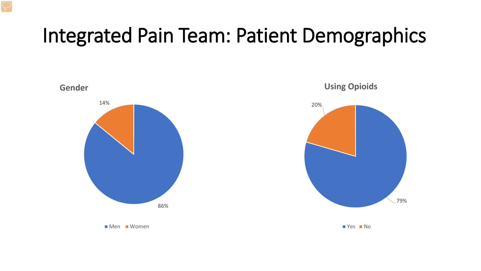#### Integrated Pain Team: Patient Demographics

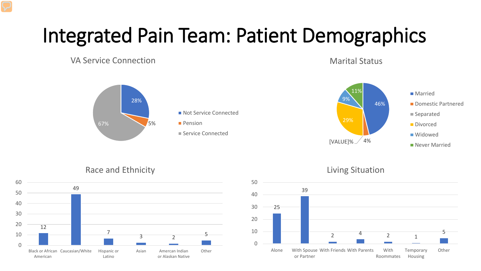## Integrated Pain Team: Patient Demographics

VA Service Connection

Marital Status





Race and Ethnicity





#### Living Situation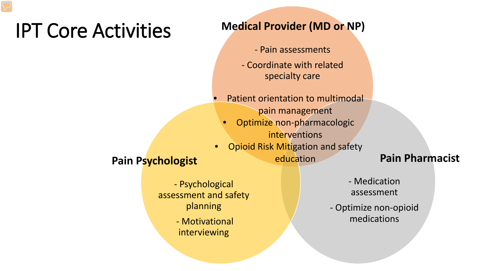#### IPT Core Activities

#### **Medical Provider (MD or NP)**

- Pain assessments
- Coordinate with related specialty care
- Patient orientation to multimodal pain management
	- Optimize non-pharmacologic interventions
- Opioid Risk Mitigation and safety **Pain Psychologist Pain Psychologist Pain Pharmacist**

- Psychological assessment and safety planning

> - Motivational interviewing

- Medication assessment

- Optimize non-opioid medications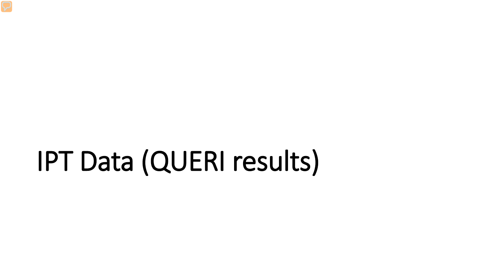# IPT Data (QUERI results)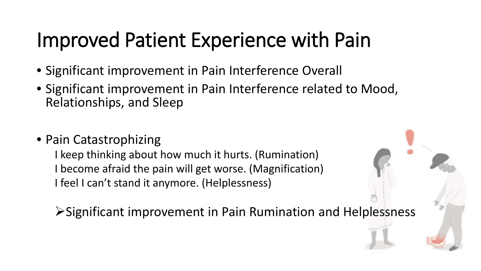#### Improved Patient Experience with Pain

- Significant improvement in Pain Interference Overall
- Significant improvement in Pain Interference related to Mood, Relationships, and Sleep
- Pain Catastrophizing

I keep thinking about how much it hurts. (Rumination) I become afraid the pain will get worse. (Magnification) I feel I can't stand it anymore. (Helplessness)

Significant improvement in Pain Rumination and Helplessness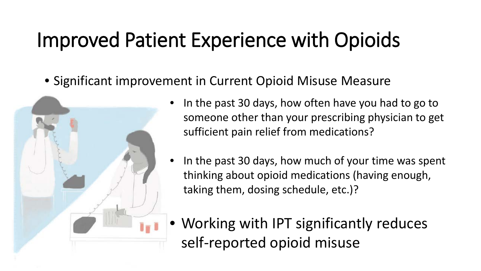#### Improved Patient Experience with Opioids

• Significant improvement in Current Opioid Misuse Measure



- In the past 30 days, how often have you had to go to someone other than your prescribing physician to get sufficient pain relief from medications?
- In the past 30 days, how much of your time was spent thinking about opioid medications (having enough, taking them, dosing schedule, etc.)?
- Working with IPT significantly reduces self-reported opioid misuse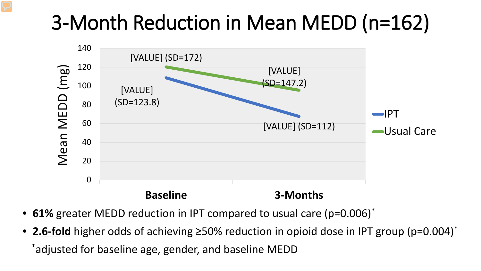## 3-Month Reduction in Mean MEDD (n=162)



- **61%** greater MEDD reduction in IPT compared to usual care (p=0.006)\*
- **2.6-fold** higher odds of achieving ≥50% reduction in opioid dose in IPT group (p=0.004)\* \*adjusted for baseline age, gender, and baseline MEDD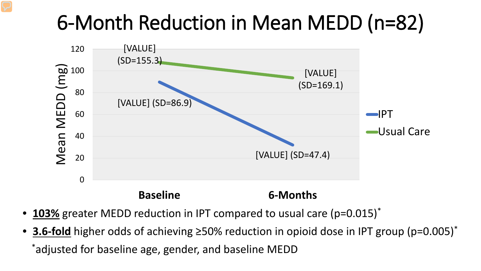#### 6-Month Reduction in Mean MEDD (n=82)



- 103% greater MEDD reduction in IPT compared to usual care (p=0.015)<sup>\*</sup>
- **3.6-fold** higher odds of achieving ≥50% reduction in opioid dose in IPT group (p=0.005)\* \*adjusted for baseline age, gender, and baseline MEDD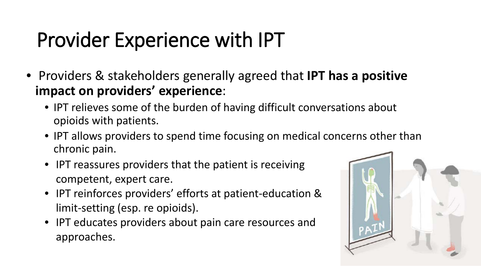## Provider Experience with IPT

- Providers & stakeholders generally agreed that **IPT has a positive impact on providers' experience**:
	- IPT relieves some of the burden of having difficult conversations about opioids with patients.
	- IPT allows providers to spend time focusing on medical concerns other than chronic pain.
	- IPT reassures providers that the patient is receiving competent, expert care.
	- IPT reinforces providers' efforts at patient-education & limit-setting (esp. re opioids).
	- IPT educates providers about pain care resources and approaches.

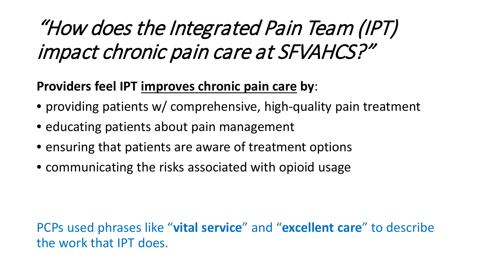## "How does the Integrated Pain Team (IPT) impact chronic pain care at SFVAHCS?"

#### **Providers feel IPT improves chronic pain care by**:

- providing patients w/ comprehensive, high-quality pain treatment
- educating patients about pain management
- ensuring that patients are aware of treatment options
- communicating the risks associated with opioid usage

PCPs used phrases like "**vital service**" and "**excellent care**" to describe the work that IPT does.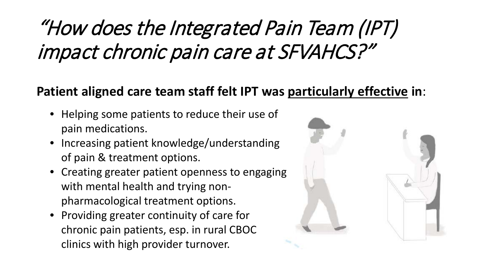## "How does the Integrated Pain Team (IPT) impact chronic pain care at SFVAHCS?"

#### **Patient aligned care team staff felt IPT was particularly effective in**:

- Helping some patients to reduce their use of pain medications.
- Increasing patient knowledge/understanding of pain & treatment options.
- Creating greater patient openness to engaging with mental health and trying nonpharmacological treatment options.
- Providing greater continuity of care for chronic pain patients, esp. in rural CBOC clinics with high provider turnover.

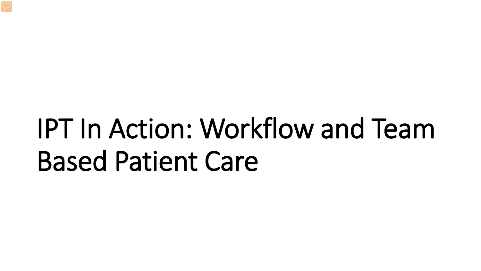# IPT In Action: Workflow and Team Based Patient Care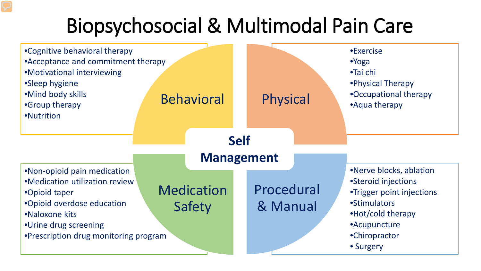## Biopsychosocial & Multimodal Pain Care

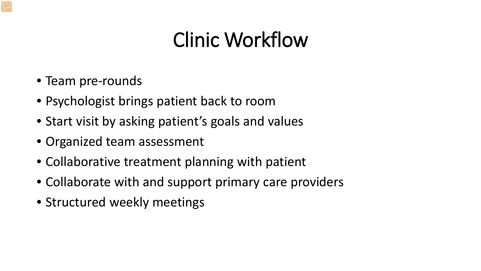#### Clinic Workflow

- Team pre-rounds
- Psychologist brings patient back to room
- Start visit by asking patient's goals and values
- Organized team assessment
- Collaborative treatment planning with patient
- Collaborate with and support primary care providers
- Structured weekly meetings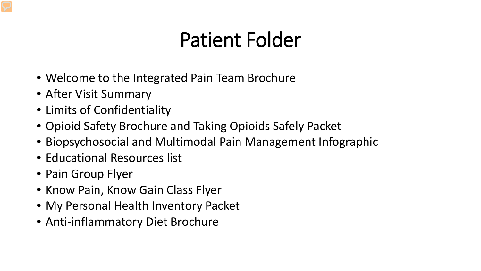#### Patient Folder

- Welcome to the Integrated Pain Team Brochure
- After Visit Summary
- Limits of Confidentiality
- Opioid Safety Brochure and Taking Opioids Safely Packet
- Biopsychosocial and Multimodal Pain Management Infographic
- Educational Resources list
- Pain Group Flyer
- Know Pain, Know Gain Class Flyer
- My Personal Health Inventory Packet
- Anti-inflammatory Diet Brochure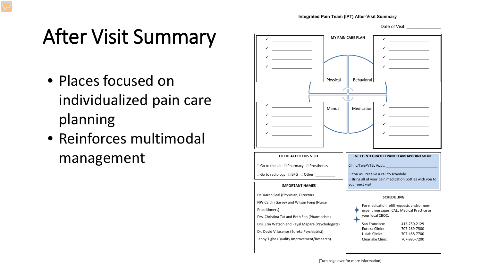Date of Visit:

## After Visit Summary

- Places focused on individualized pain care planning
- Reinforces multimodal management

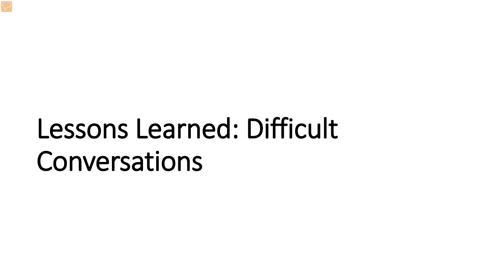# Lessons Learned: Difficult Conversations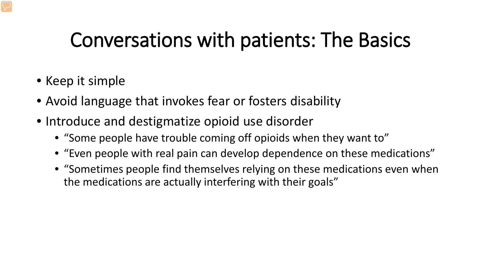#### Conversations with patients: The Basics

- Keep it simple
- Avoid language that invokes fear or fosters disability
- Introduce and destigmatize opioid use disorder
	- "Some people have trouble coming off opioids when they want to"
	- "Even people with real pain can develop dependence on these medications"
	- "Sometimes people find themselves relying on these medications even when the medications are actually interfering with their goals"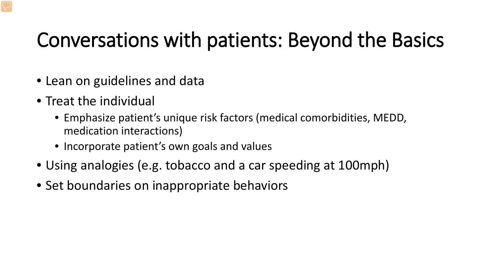#### Conversations with patients: Beyond the Basics

- Lean on guidelines and data
- Treat the individual
	- Emphasize patient's unique risk factors (medical comorbidities, MEDD, medication interactions)
	- Incorporate patient's own goals and values
- Using analogies (e.g. tobacco and a car speeding at 100mph)
- Set boundaries on inappropriate behaviors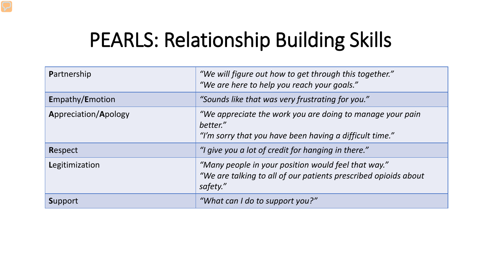#### PEARLS: Relationship Building Skills

| Partnership          | "We will figure out how to get through this together."<br>"We are here to help you reach your goals."                              |
|----------------------|------------------------------------------------------------------------------------------------------------------------------------|
| Empathy/Emotion      | "Sounds like that was very frustrating for you."                                                                                   |
| Appreciation/Apology | "We appreciate the work you are doing to manage your pain<br>better."<br>"I'm sorry that you have been having a difficult time."   |
| Respect              | "I give you a lot of credit for hanging in there."                                                                                 |
| Legitimization       | "Many people in your position would feel that way."<br>"We are talking to all of our patients prescribed opioids about<br>safety." |
| <b>Support</b>       | "What can I do to support you?"                                                                                                    |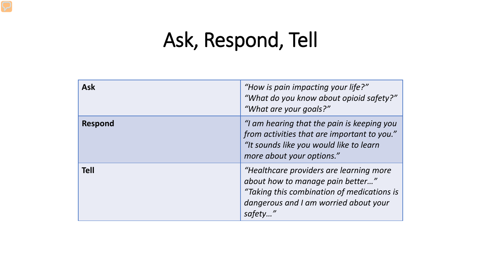## Ask, Respond, Tell

| <b>Ask</b>     | "How is pain impacting your life?"<br>"What do you know about opioid safety?"<br>"What are your goals?"                                                                      |
|----------------|------------------------------------------------------------------------------------------------------------------------------------------------------------------------------|
| <b>Respond</b> | "I am hearing that the pain is keeping you<br>from activities that are important to you."<br>"It sounds like you would like to learn<br>more about your options."            |
| <b>Tell</b>    | "Healthcare providers are learning more<br>about how to manage pain better"<br>"Taking this combination of medications is<br>dangerous and I am worried about your<br>safety |